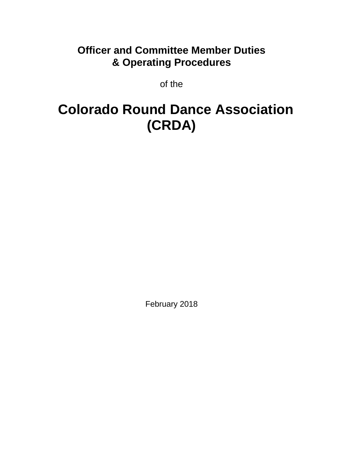## **Officer and Committee Member Duties & Operating Procedures**

of the

# **Colorado Round Dance Association (CRDA)**

February 2018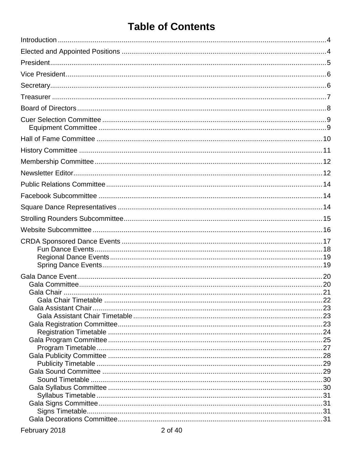## **Table of Contents**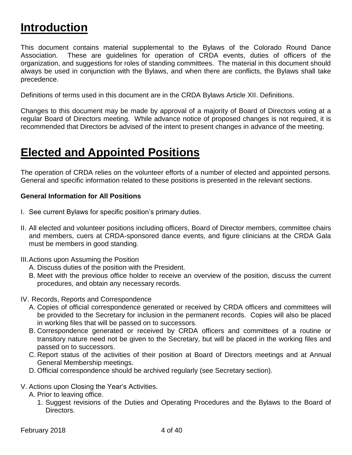# <span id="page-3-0"></span>**Introduction**

This document contains material supplemental to the Bylaws of the Colorado Round Dance Association. These are guidelines for operation of CRDA events, duties of officers of the organization, and suggestions for roles of standing committees. The material in this document should always be used in conjunction with the Bylaws, and when there are conflicts, the Bylaws shall take precedence.

Definitions of terms used in this document are in the CRDA Bylaws Article XII. Definitions.

Changes to this document may be made by approval of a majority of Board of Directors voting at a regular Board of Directors meeting. While advance notice of proposed changes is not required, it is recommended that Directors be advised of the intent to present changes in advance of the meeting.

# <span id="page-3-1"></span>**Elected and Appointed Positions**

The operation of CRDA relies on the volunteer efforts of a number of elected and appointed persons. General and specific information related to these positions is presented in the relevant sections.

#### **General Information for All Positions**

- I. See current Bylaws for specific position's primary duties.
- II. All elected and volunteer positions including officers, Board of Director members, committee chairs and members, cuers at CRDA-sponsored dance events, and figure clinicians at the CRDA Gala must be members in good standing.
- III.Actions upon Assuming the Position
	- A. Discuss duties of the position with the President.
	- B. Meet with the previous office holder to receive an overview of the position, discuss the current procedures, and obtain any necessary records.
- IV. Records, Reports and Correspondence
	- A. Copies of official correspondence generated or received by CRDA officers and committees will be provided to the Secretary for inclusion in the permanent records. Copies will also be placed in working files that will be passed on to successors.
	- B. Correspondence generated or received by CRDA officers and committees of a routine or transitory nature need not be given to the Secretary, but will be placed in the working files and passed on to successors.
	- C. Report status of the activities of their position at Board of Directors meetings and at Annual General Membership meetings.
	- D. Official correspondence should be archived regularly (see Secretary section).
- V. Actions upon Closing the Year's Activities.
	- A. Prior to leaving office.
		- 1. Suggest revisions of the Duties and Operating Procedures and the Bylaws to the Board of Directors.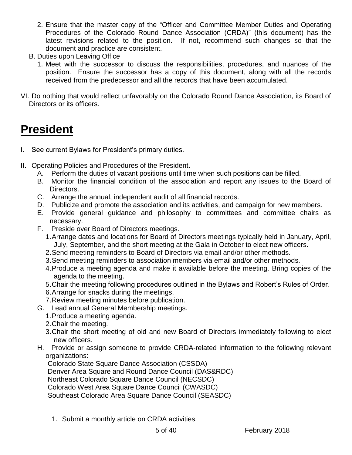- 2. Ensure that the master copy of the "Officer and Committee Member Duties and Operating Procedures of the Colorado Round Dance Association (CRDA)" (this document) has the latest revisions related to the position. If not, recommend such changes so that the document and practice are consistent.
- B. Duties upon Leaving Office
	- 1. Meet with the successor to discuss the responsibilities, procedures, and nuances of the position. Ensure the successor has a copy of this document, along with all the records received from the predecessor and all the records that have been accumulated.
- VI. Do nothing that would reflect unfavorably on the Colorado Round Dance Association, its Board of Directors or its officers.

# <span id="page-4-0"></span>**President**

- I. See current Bylaws for President's primary duties.
- II. Operating Policies and Procedures of the President.
	- A. Perform the duties of vacant positions until time when such positions can be filled.
	- B. Monitor the financial condition of the association and report any issues to the Board of Directors.
	- C. Arrange the annual, independent audit of all financial records.
	- D. Publicize and promote the association and its activities, and campaign for new members.
	- E. Provide general guidance and philosophy to committees and committee chairs as necessary.
	- F. Preside over Board of Directors meetings.
		- 1.Arrange dates and locations for Board of Directors meetings typically held in January, April, July, September, and the short meeting at the Gala in October to elect new officers.
		- 2.Send meeting reminders to Board of Directors via email and/or other methods.
		- 3.Send meeting reminders to association members via email and/or other methods.
		- 4.Produce a meeting agenda and make it available before the meeting. Bring copies of the agenda to the meeting.
		- 5.Chair the meeting following procedures outlined in the Bylaws and Robert's Rules of Order.
		- 6.Arrange for snacks during the meetings.
		- 7.Review meeting minutes before publication.
	- G. Lead annual General Membership meetings.
		- 1.Produce a meeting agenda.
		- 2.Chair the meeting.
		- 3.Chair the short meeting of old and new Board of Directors immediately following to elect new officers.
	- H. Provide or assign someone to provide CRDA-related information to the following relevant organizations:

Colorado State Square Dance Association (CSSDA)

Denver Area Square and Round Dance Council (DAS&RDC)

Northeast Colorado Square Dance Council (NECSDC)

Colorado West Area Square Dance Council (CWASDC)

Southeast Colorado Area Square Dance Council (SEASDC)

1. Submit a monthly article on CRDA activities.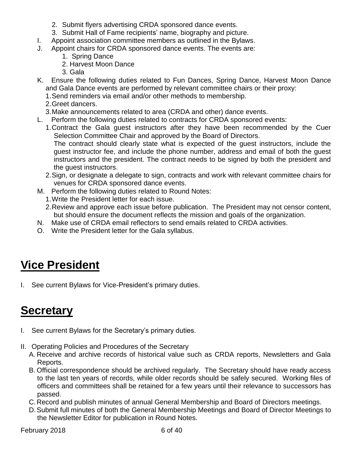- 2. Submit flyers advertising CRDA sponsored dance events.
- 3. Submit Hall of Fame recipients' name, biography and picture.
- I. Appoint association committee members as outlined in the Bylaws.
- J. Appoint chairs for CRDA sponsored dance events. The events are:
	- 1. Spring Dance
	- 2. Harvest Moon Dance
	- 3. Gala
- K. Ensure the following duties related to Fun Dances, Spring Dance, Harvest Moon Dance and Gala Dance events are performed by relevant committee chairs or their proxy:
	- 1.Send reminders via email and/or other methods to membership.
	- 2.Greet dancers.
	- 3.Make announcements related to area (CRDA and other) dance events.
- L. Perform the following duties related to contracts for CRDA sponsored events:
	- 1.Contract the Gala guest instructors after they have been recommended by the Cuer Selection Committee Chair and approved by the Board of Directors. The contract should clearly state what is expected of the guest instructors, include the guest instructor fee, and include the phone number, address and email of both the guest instructors and the president. The contract needs to be signed by both the president and the guest instructors.
	- 2.Sign, or designate a delegate to sign, contracts and work with relevant committee chairs for venues for CRDA sponsored dance events.
- M. Perform the following duties related to Round Notes:
	- 1.Write the President letter for each issue.
	- 2.Review and approve each issue before publication. The President may not censor content, but should ensure the document reflects the mission and goals of the organization.
- N. Make use of CRDA email reflectors to send emails related to CRDA activities.
- O. Write the President letter for the Gala syllabus.

# <span id="page-5-0"></span>**Vice President**

I. See current Bylaws for Vice-President's primary duties.

# <span id="page-5-1"></span>**Secretary**

- I. See current Bylaws for the Secretary's primary duties.
- II. Operating Policies and Procedures of the Secretary
	- A. Receive and archive records of historical value such as CRDA reports, Newsletters and Gala Reports.
	- B. Official correspondence should be archived regularly. The Secretary should have ready access to the last ten years of records, while older records should be safely secured. Working files of officers and committees shall be retained for a few years until their relevance to successors has passed.
	- C.Record and publish minutes of annual General Membership and Board of Directors meetings.
	- D.Submit full minutes of both the General Membership Meetings and Board of Director Meetings to the Newsletter Editor for publication in Round Notes.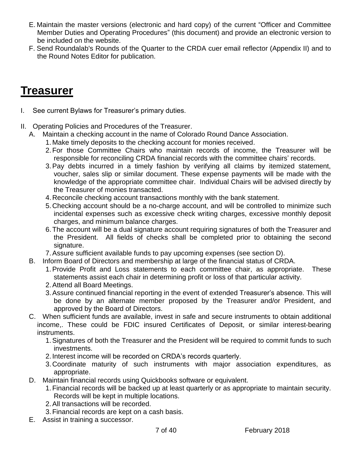- E. Maintain the master versions (electronic and hard copy) of the current "Officer and Committee Member Duties and Operating Procedures" (this document) and provide an electronic version to be included on the website.
- F. Send Roundalab's Rounds of the Quarter to the CRDA cuer email reflector (Appendix II) and to the Round Notes Editor for publication.

## <span id="page-6-0"></span>**Treasurer**

- I. See current Bylaws for Treasurer's primary duties.
- II. Operating Policies and Procedures of the Treasurer.
	- A. Maintain a checking account in the name of Colorado Round Dance Association.
		- 1. Make timely deposits to the checking account for monies received.
		- 2.For those Committee Chairs who maintain records of income, the Treasurer will be responsible for reconciling CRDA financial records with the committee chairs' records.
		- 3.Pay debts incurred in a timely fashion by verifying all claims by itemized statement, voucher, sales slip or similar document. These expense payments will be made with the knowledge of the appropriate committee chair. Individual Chairs will be advised directly by the Treasurer of monies transacted.
		- 4.Reconcile checking account transactions monthly with the bank statement.
		- 5.Checking account should be a no-charge account, and will be controlled to minimize such incidental expenses such as excessive check writing charges, excessive monthly deposit charges, and minimum balance charges.
		- 6.The account will be a dual signature account requiring signatures of both the Treasurer and the President. All fields of checks shall be completed prior to obtaining the second signature.
		- 7.Assure sufficient available funds to pay upcoming expenses (see section D).
	- B. Inform Board of Directors and membership at large of the financial status of CRDA.
		- 1.Provide Profit and Loss statements to each committee chair, as appropriate. These statements assist each chair in determining profit or loss of that particular activity.
		- 2.Attend all Board Meetings.
		- 3.Assure continued financial reporting in the event of extended Treasurer's absence. This will be done by an alternate member proposed by the Treasurer and/or President, and approved by the Board of Directors.
	- C. When sufficient funds are available, invest in safe and secure instruments to obtain additional income,. These could be FDIC insured Certificates of Deposit, or similar interest-bearing instruments.
		- 1.Signatures of both the Treasurer and the President will be required to commit funds to such investments.
		- 2. Interest income will be recorded on CRDA's records quarterly.
		- 3.Coordinate maturity of such instruments with major association expenditures, as appropriate.
	- D. Maintain financial records using Quickbooks software or equivalent.
		- 1.Financial records will be backed up at least quarterly or as appropriate to maintain security. Records will be kept in multiple locations.
		- 2.All transactions will be recorded.
		- 3.Financial records are kept on a cash basis.
	- E. Assist in training a successor.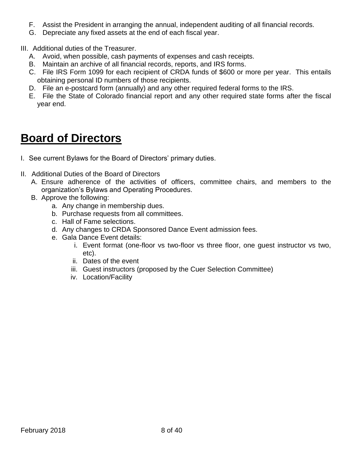- F. Assist the President in arranging the annual, independent auditing of all financial records.
- G. Depreciate any fixed assets at the end of each fiscal year.

III. Additional duties of the Treasurer.

- A. Avoid, when possible, cash payments of expenses and cash receipts.
- B. Maintain an archive of all financial records, reports, and IRS forms.
- C. File IRS Form 1099 for each recipient of CRDA funds of \$600 or more per year. This entails obtaining personal ID numbers of those recipients.
- D. File an e-postcard form (annually) and any other required federal forms to the IRS.
- E. File the State of Colorado financial report and any other required state forms after the fiscal year end.

## <span id="page-7-0"></span>**Board of Directors**

- I. See current Bylaws for the Board of Directors' primary duties.
- II. Additional Duties of the Board of Directors
	- A. Ensure adherence of the activities of officers, committee chairs, and members to the organization's Bylaws and Operating Procedures.
	- B. Approve the following:
		- a. Any change in membership dues.
		- b. Purchase requests from all committees.
		- c. Hall of Fame selections.
		- d. Any changes to CRDA Sponsored Dance Event admission fees.
		- e. Gala Dance Event details:
			- i. Event format (one-floor vs two-floor vs three floor, one guest instructor vs two, etc).
			- ii. Dates of the event
			- iii. Guest instructors (proposed by the Cuer Selection Committee)
			- iv. Location/Facility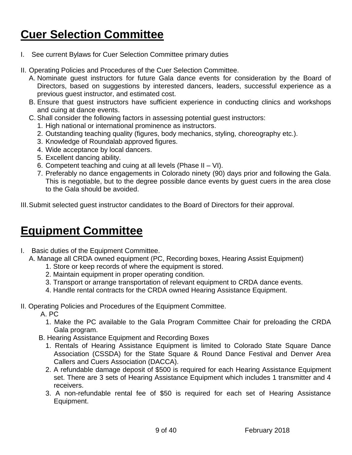# <span id="page-8-0"></span>**Cuer Selection Committee**

- I. See current Bylaws for Cuer Selection Committee primary duties
- II. Operating Policies and Procedures of the Cuer Selection Committee.
	- A. Nominate guest instructors for future Gala dance events for consideration by the Board of Directors, based on suggestions by interested dancers, leaders, successful experience as a previous guest instructor, and estimated cost.
	- B. Ensure that guest instructors have sufficient experience in conducting clinics and workshops and cuing at dance events.
	- C. Shall consider the following factors in assessing potential guest instructors:
		- 1. High national or international prominence as instructors.
		- 2. Outstanding teaching quality (figures, body mechanics, styling, choreography etc.).
		- 3. Knowledge of Roundalab approved figures.
		- 4. Wide acceptance by local dancers.
		- 5. Excellent dancing ability.
		- 6. Competent teaching and cuing at all levels (Phase II VI).
		- 7. Preferably no dance engagements in Colorado ninety (90) days prior and following the Gala. This is negotiable, but to the degree possible dance events by guest cuers in the area close to the Gala should be avoided.

III.Submit selected guest instructor candidates to the Board of Directors for their approval.

## <span id="page-8-1"></span>**Equipment Committee**

I. Basic duties of the Equipment Committee.

A. Manage all CRDA owned equipment (PC, Recording boxes, Hearing Assist Equipment)

- 1. Store or keep records of where the equipment is stored.
- 2. Maintain equipment in proper operating condition.
- 3. Transport or arrange transportation of relevant equipment to CRDA dance events.
- 4. Handle rental contracts for the CRDA owned Hearing Assistance Equipment.
- II. Operating Policies and Procedures of the Equipment Committee.

A. PC

- 1. Make the PC available to the Gala Program Committee Chair for preloading the CRDA Gala program.
- B. Hearing Assistance Equipment and Recording Boxes
	- 1. Rentals of Hearing Assistance Equipment is limited to Colorado State Square Dance Association (CSSDA) for the State Square & Round Dance Festival and Denver Area Callers and Cuers Association (DACCA).
	- 2. A refundable damage deposit of \$500 is required for each Hearing Assistance Equipment set. There are 3 sets of Hearing Assistance Equipment which includes 1 transmitter and 4 receivers.
	- 3. A non-refundable rental fee of \$50 is required for each set of Hearing Assistance Equipment.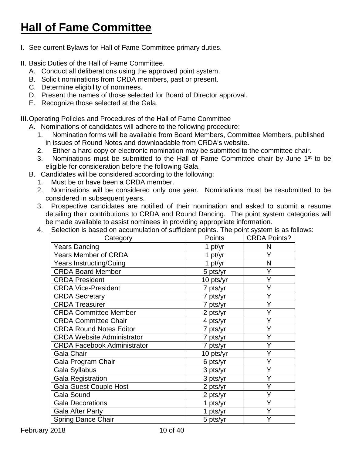# <span id="page-9-0"></span>**Hall of Fame Committee**

- I. See current Bylaws for Hall of Fame Committee primary duties.
- II. Basic Duties of the Hall of Fame Committee.
	- A. Conduct all deliberations using the approved point system.
	- B. Solicit nominations from CRDA members, past or present.
	- C. Determine eligibility of nominees.
	- D. Present the names of those selected for Board of Director approval.
	- E. Recognize those selected at the Gala.

III.Operating Policies and Procedures of the Hall of Fame Committee

- A. Nominations of candidates will adhere to the following procedure:
	- 1. Nomination forms will be available from Board Members, Committee Members, published in issues of Round Notes and downloadable from CRDA's website.
	- 2. Either a hard copy or electronic nomination may be submitted to the committee chair.
	- 3. Nominations must be submitted to the Hall of Fame Committee chair by June  $1<sup>st</sup>$  to be eligible for consideration before the following Gala.
- B. Candidates will be considered according to the following:
	- 1. Must be or have been a CRDA member.
	- 2. Nominations will be considered only one year. Nominations must be resubmitted to be considered in subsequent years.
	- 3. Prospective candidates are notified of their nomination and asked to submit a resume detailing their contributions to CRDA and Round Dancing. The point system categories will be made available to assist nominees in providing appropriate information.
	- 4. Selection is based on accumulation of sufficient points. The point system is as follows:

| Category                           | Points    | <b>CRDA Points?</b> |
|------------------------------------|-----------|---------------------|
| Years Dancing                      | 1 pt/yr   | N                   |
| <b>Years Member of CRDA</b>        | 1 $pt/yr$ | Y                   |
| <b>Years Instructing/Cuing</b>     | 1 $pt/yr$ | N                   |
| <b>CRDA Board Member</b>           | 5 pts/yr  | Y                   |
| <b>CRDA President</b>              | 10 pts/yr | Y                   |
| <b>CRDA Vice-President</b>         | 7 pts/yr  | Y                   |
| <b>CRDA Secretary</b>              | 7 pts/yr  | Y                   |
| <b>CRDA Treasurer</b>              | 7 pts/yr  |                     |
| <b>CRDA Committee Member</b>       | 2 pts/yr  | Υ                   |
| <b>CRDA Committee Chair</b>        | 4 pts/yr  | Y                   |
| <b>CRDA Round Notes Editor</b>     | 7 pts/yr  | Y                   |
| <b>CRDA Website Administrator</b>  | 7 pts/yr  | Y                   |
| <b>CRDA Facebook Administrator</b> | 7 pts/yr  | Y                   |
| Gala Chair                         | 10 pts/yr | Y                   |
| Gala Program Chair                 | 6 pts/yr  | Ý                   |
| Gala Syllabus                      | 3 pts/yr  | Υ                   |
| <b>Gala Registration</b>           | 3 pts/yr  | Y                   |
| <b>Gala Guest Couple Host</b>      | 2 pts/yr  | Υ                   |
| <b>Gala Sound</b>                  | 2 pts/yr  | Y                   |
| <b>Gala Decorations</b>            | 1 pts/yr  | Y                   |
| <b>Gala After Party</b>            | 1 pts/yr  |                     |
| <b>Spring Dance Chair</b>          | 5 pts/yr  |                     |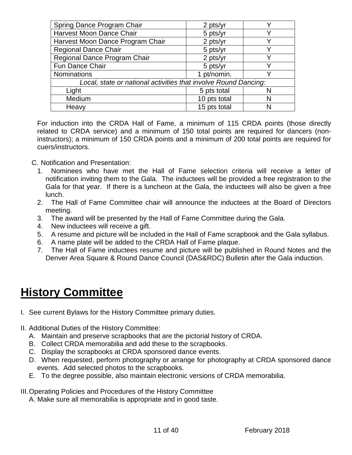| Spring Dance Program Chair                                      | 2 pts/yr     |   |
|-----------------------------------------------------------------|--------------|---|
| Harvest Moon Dance Chair                                        | 5 pts/yr     |   |
| Harvest Moon Dance Program Chair                                | 2 pts/yr     |   |
| <b>Regional Dance Chair</b>                                     | 5 pts/yr     |   |
| Regional Dance Program Chair                                    | 2 pts/yr     |   |
| Fun Dance Chair                                                 | 5 pts/yr     |   |
| Nominations                                                     | 1 pt/nomin.  |   |
| Local, state or national activities that involve Round Dancing: |              |   |
| Light                                                           | 5 pts total  |   |
| Medium                                                          | 10 pts total | N |
| Heavy                                                           | 15 pts total | N |

For induction into the CRDA Hall of Fame, a minimum of 115 CRDA points (those directly related to CRDA service) and a minimum of 150 total points are required for dancers (noninstructors); a minimum of 150 CRDA points and a minimum of 200 total points are required for cuers/instructors.

C. Notification and Presentation:

- 1. Nominees who have met the Hall of Fame selection criteria will receive a letter of notification inviting them to the Gala. The inductees will be provided a free registration to the Gala for that year. If there is a luncheon at the Gala, the inductees will also be given a free lunch.
- 2. The Hall of Fame Committee chair will announce the inductees at the Board of Directors meeting.
- 3. The award will be presented by the Hall of Fame Committee during the Gala.
- 4. New inductees will receive a gift.
- 5. A resume and picture will be included in the Hall of Fame scrapbook and the Gala syllabus.
- 6. A name plate will be added to the CRDA Hall of Fame plaque.
- 7. The Hall of Fame inductees resume and picture will be published in Round Notes and the Denver Area Square & Round Dance Council (DAS&RDC) Bulletin after the Gala induction.

# <span id="page-10-0"></span>**History Committee**

- I. See current Bylaws for the History Committee primary duties.
- II. Additional Duties of the History Committee:
	- A. Maintain and preserve scrapbooks that are the pictorial history of CRDA.
	- B. Collect CRDA memorabilia and add these to the scrapbooks.
	- C. Display the scrapbooks at CRDA sponsored dance events.
	- D. When requested, perform photography or arrange for photography at CRDA sponsored dance events. Add selected photos to the scrapbooks.
	- E. To the degree possible, also maintain electronic versions of CRDA memorabilia.
- III.Operating Policies and Procedures of the History Committee
	- A. Make sure all memorabilia is appropriate and in good taste.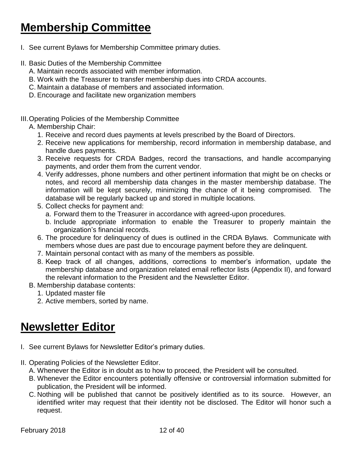# <span id="page-11-0"></span>**Membership Committee**

- I. See current Bylaws for Membership Committee primary duties.
- II. Basic Duties of the Membership Committee
	- A. Maintain records associated with member information.
	- B. Work with the Treasurer to transfer membership dues into CRDA accounts.
	- C. Maintain a database of members and associated information.
	- D. Encourage and facilitate new organization members

#### III.Operating Policies of the Membership Committee

#### A. Membership Chair:

- 1. Receive and record dues payments at levels prescribed by the Board of Directors.
- 2. Receive new applications for membership, record information in membership database, and handle dues payments.
- 3. Receive requests for CRDA Badges, record the transactions, and handle accompanying payments, and order them from the current vendor.
- 4. Verify addresses, phone numbers and other pertinent information that might be on checks or notes, and record all membership data changes in the master membership database. The information will be kept securely, minimizing the chance of it being compromised. The database will be regularly backed up and stored in multiple locations.
- 5. Collect checks for payment and:
	- a. Forward them to the Treasurer in accordance with agreed-upon procedures.
	- b. Include appropriate information to enable the Treasurer to properly maintain the organization's financial records.
- 6. The procedure for delinquency of dues is outlined in the CRDA Bylaws. Communicate with members whose dues are past due to encourage payment before they are delinquent.
- 7. Maintain personal contact with as many of the members as possible.
- 8. Keep track of all changes, additions, corrections to member's information, update the membership database and organization related email reflector lists (Appendix II), and forward the relevant information to the President and the Newsletter Editor.
- B. Membership database contents:
	- 1. Updated master file
	- 2. Active members, sorted by name.

## <span id="page-11-1"></span>**Newsletter Editor**

- I. See current Bylaws for Newsletter Editor's primary duties.
- II. Operating Policies of the Newsletter Editor.
	- A. Whenever the Editor is in doubt as to how to proceed, the President will be consulted.
	- B. Whenever the Editor encounters potentially offensive or controversial information submitted for publication, the President will be informed.
	- C. Nothing will be published that cannot be positively identified as to its source. However, an identified writer may request that their identity not be disclosed. The Editor will honor such a request.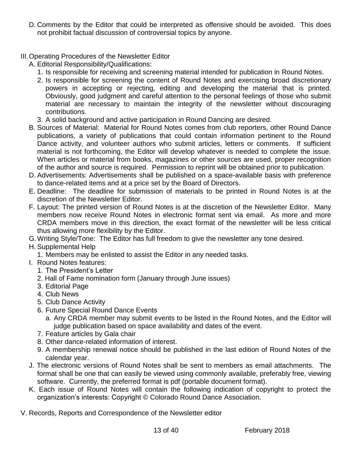- D. Comments by the Editor that could be interpreted as offensive should be avoided. This does not prohibit factual discussion of controversial topics by anyone.
- III.Operating Procedures of the Newsletter Editor
	- A. Editorial Responsibility/Qualifications:
		- 1. Is responsible for receiving and screening material intended for publication in Round Notes.
		- 2. Is responsible for screening the content of Round Notes and exercising broad discretionary powers in accepting or rejecting, editing and developing the material that is printed. Obviously, good judgment and careful attention to the personal feelings of those who submit material are necessary to maintain the integrity of the newsletter without discouraging contributions.
		- 3. A solid background and active participation in Round Dancing are desired.
	- B. Sources of Material: Material for Round Notes comes from club reporters, other Round Dance publications, a variety of publications that could contain information pertinent to the Round Dance activity, and volunteer authors who submit articles, letters or comments. If sufficient material is not forthcoming, the Editor will develop whatever is needed to complete the issue. When articles or material from books, magazines or other sources are used, proper recognition of the author and source is required. Permission to reprint will be obtained prior to publication.
	- D. Advertisements: Advertisements shall be published on a space-available basis with preference to dance-related items and at a price set by the Board of Directors.
	- E. Deadline: The deadline for submission of materials to be printed in Round Notes is at the discretion of the Newsletter Editor.
	- F. Layout: The printed version of Round Notes is at the discretion of the Newsletter Editor. Many members now receive Round Notes in electronic format sent via email. As more and more CRDA members move in this direction, the exact format of the newsletter will be less critical thus allowing more flexibility by the Editor.
	- G.Writing Style/Tone: The Editor has full freedom to give the newsletter any tone desired.
	- H. Supplemental Help
		- 1. Members may be enlisted to assist the Editor in any needed tasks.
	- I. Round Notes features:
		- 1. The President's Letter
		- 2. Hall of Fame nomination form (January through June issues)
		- 3. Editorial Page
		- 4. Club News
		- 5. Club Dance Activity
		- 6. Future Special Round Dance Events
			- a. Any CRDA member may submit events to be listed in the Round Notes, and the Editor will judge publication based on space availability and dates of the event.
		- 7. Feature articles by Gala chair
		- 8. Other dance-related information of interest.
		- 9. A membership renewal notice should be published in the last edition of Round Notes of the calendar year.
	- J. The electronic versions of Round Notes shall be sent to members as email attachments*.* The format shall be one that can easily be viewed using commonly available, preferably free, viewing software. Currently, the preferred format is pdf (portable document format).
	- K. Each issue of Round Notes will contain the following indication of copyright to protect the organization's interests: Copyright © Colorado Round Dance Association.
- V. Records, Reports and Correspondence of the Newsletter editor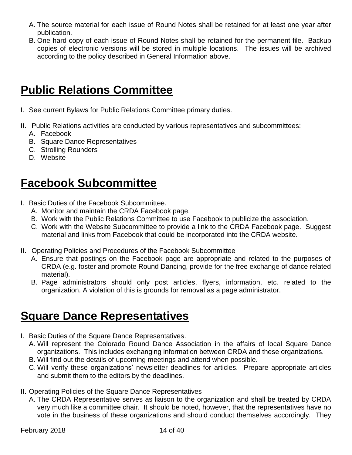- A. The source material for each issue of Round Notes shall be retained for at least one year after publication.
- B. One hard copy of each issue of Round Notes shall be retained for the permanent file. Backup copies of electronic versions will be stored in multiple locations. The issues will be archived according to the policy described in General Information above.

# <span id="page-13-0"></span>**Public Relations Committee**

- I. See current Bylaws for Public Relations Committee primary duties.
- II. Public Relations activities are conducted by various representatives and subcommittees:
	- A. Facebook
	- B. Square Dance Representatives
	- C. Strolling Rounders
	- D. Website

# <span id="page-13-1"></span>**Facebook Subcommittee**

- I. Basic Duties of the Facebook Subcommittee.
	- A. Monitor and maintain the CRDA Facebook page.
	- B. Work with the Public Relations Committee to use Facebook to publicize the association.
	- C. Work with the Website Subcommittee to provide a link to the CRDA Facebook page. Suggest material and links from Facebook that could be incorporated into the CRDA website.
- II. Operating Policies and Procedures of the Facebook Subcommittee
	- A. Ensure that postings on the Facebook page are appropriate and related to the purposes of CRDA (e.g. foster and promote Round Dancing, provide for the free exchange of dance related material).
	- B. Page administrators should only post articles, flyers, information, etc. related to the organization. A violation of this is grounds for removal as a page administrator.

## <span id="page-13-2"></span>**Square Dance Representatives**

- I. Basic Duties of the Square Dance Representatives.
	- A. Will represent the Colorado Round Dance Association in the affairs of local Square Dance organizations. This includes exchanging information between CRDA and these organizations.
	- B. Will find out the details of upcoming meetings and attend when possible.
	- C. Will verify these organizations' newsletter deadlines for articles. Prepare appropriate articles and submit them to the editors by the deadlines.
- II. Operating Policies of the Square Dance Representatives
	- A. The CRDA Representative serves as liaison to the organization and shall be treated by CRDA very much like a committee chair. It should be noted, however, that the representatives have no vote in the business of these organizations and should conduct themselves accordingly. They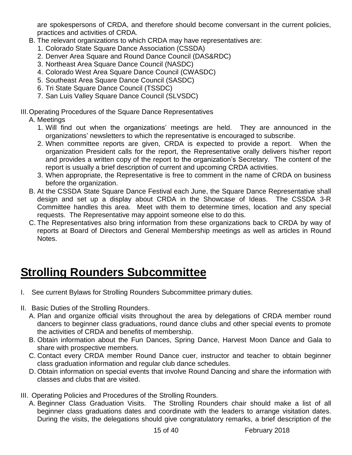are spokespersons of CRDA, and therefore should become conversant in the current policies, practices and activities of CRDA.

- B. The relevant organizations to which CRDA may have representatives are:
	- 1. Colorado State Square Dance Association (CSSDA)
	- 2. Denver Area Square and Round Dance Council (DAS&RDC)
	- 3. Northeast Area Square Dance Council (NASDC)
	- 4. Colorado West Area Square Dance Council (CWASDC)
	- 5. Southeast Area Square Dance Council (SASDC)
	- 6. Tri State Square Dance Council (TSSDC)
	- 7. San Luis Valley Square Dance Council (SLVSDC)

#### III.Operating Procedures of the Square Dance Representatives

#### A. Meetings

- 1. Will find out when the organizations' meetings are held. They are announced in the organizations' newsletters to which the representative is encouraged to subscribe.
- 2. When committee reports are given, CRDA is expected to provide a report. When the organization President calls for the report, the Representative orally delivers his/her report and provides a written copy of the report to the organization's Secretary. The content of the report is usually a brief description of current and upcoming CRDA activities.
- 3. When appropriate, the Representative is free to comment in the name of CRDA on business before the organization.
- B. At the CSSDA State Square Dance Festival each June, the Square Dance Representative shall design and set up a display about CRDA in the Showcase of Ideas. The CSSDA 3-R Committee handles this area. Meet with them to determine times, location and any special requests. The Representative may appoint someone else to do this.
- C. The Representatives also bring information from these organizations back to CRDA by way of reports at Board of Directors and General Membership meetings as well as articles in Round Notes.

# <span id="page-14-0"></span>**Strolling Rounders Subcommittee**

- I. See current Bylaws for Strolling Rounders Subcommittee primary duties.
- II. Basic Duties of the Strolling Rounders.
	- A. Plan and organize official visits throughout the area by delegations of CRDA member round dancers to beginner class graduations, round dance clubs and other special events to promote the activities of CRDA and benefits of membership.
	- B. Obtain information about the Fun Dances, Spring Dance, Harvest Moon Dance and Gala to share with prospective members.
	- C. Contact every CRDA member Round Dance cuer, instructor and teacher to obtain beginner class graduation information and regular club dance schedules.
	- D. Obtain information on special events that involve Round Dancing and share the information with classes and clubs that are visited.
- III. Operating Policies and Procedures of the Strolling Rounders.
	- A. Beginner Class Graduation Visits. The Strolling Rounders chair should make a list of all beginner class graduations dates and coordinate with the leaders to arrange visitation dates. During the visits, the delegations should give congratulatory remarks, a brief description of the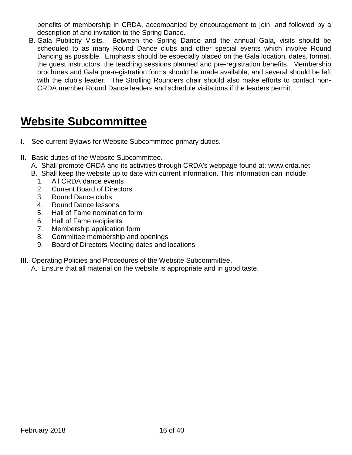benefits of membership in CRDA, accompanied by encouragement to join, and followed by a description of and invitation to the Spring Dance.

B. Gala Publicity Visits. Between the Spring Dance and the annual Gala, visits should be scheduled to as many Round Dance clubs and other special events which involve Round Dancing as possible. Emphasis should be especially placed on the Gala location, dates, format, the guest instructors, the teaching sessions planned and pre-registration benefits. Membership brochures and Gala pre-registration forms should be made available, and several should be left with the club's leader. The Strolling Rounders chair should also make efforts to contact non-CRDA member Round Dance leaders and schedule visitations if the leaders permit.

# <span id="page-15-0"></span>**Website Subcommittee**

- I. See current Bylaws for Website Subcommittee primary duties.
- II. Basic duties of the Website Subcommittee.
	- A. Shall promote CRDA and its activities through CRDA's webpage found at: www.crda.net
	- B. Shall keep the website up to date with current information. This information can include:
		- 1. All CRDA dance events
		- 2. Current Board of Directors
		- 3. Round Dance clubs
		- 4. Round Dance lessons
		- 5. Hall of Fame nomination form
		- 6. Hall of Fame recipients
		- 7. Membership application form
		- 8. Committee membership and openings
		- 9. Board of Directors Meeting dates and locations
- III. Operating Policies and Procedures of the Website Subcommittee.
	- A. Ensure that all material on the website is appropriate and in good taste.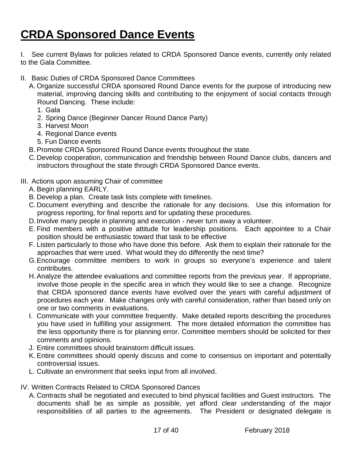# <span id="page-16-0"></span>**CRDA Sponsored Dance Events**

I. See current Bylaws for policies related to CRDA Sponsored Dance events, currently only related to the Gala Committee.

- II. Basic Duties of CRDA Sponsored Dance Committees
	- A. Organize successful CRDA sponsored Round Dance events for the purpose of introducing new material, improving dancing skills and contributing to the enjoyment of social contacts through Round Dancing. These include:
		- 1. Gala
		- 2. Spring Dance (Beginner Dancer Round Dance Party)
		- 3. Harvest Moon
		- 4. Regional Dance events
		- 5. Fun Dance events
	- B. Promote CRDA Sponsored Round Dance events throughout the state.
	- C.Develop cooperation, communication and friendship between Round Dance clubs, dancers and instructors throughout the state through CRDA Sponsored Dance events.

#### III. Actions upon assuming Chair of committee

- A. Begin planning EARLY.
- B. Develop a plan. Create task lists complete with timelines.
- C.Document everything and describe the rationale for any decisions. Use this information for progress reporting, for final reports and for updating these procedures.
- D.Involve many people in planning and execution never turn away a volunteer.
- E. Find members with a positive attitude for leadership positions. Each appointee to a Chair position should be enthusiastic toward that task to be effective
- F. Listen particularly to those who have done this before. Ask them to explain their rationale for the approaches that were used. What would they do differently the next time?
- G.Encourage committee members to work in groups so everyone's experience and talent contributes.
- H.Analyze the attendee evaluations and committee reports from the previous year. If appropriate, involve those people in the specific area in which they would like to see a change. Recognize that CRDA sponsored dance events have evolved over the years with careful adjustment of procedures each year. Make changes only with careful consideration, rather than based only on one or two comments in evaluations.
- I. Communicate with your committee frequently. Make detailed reports describing the procedures you have used in fulfilling your assignment. The more detailed information the committee has the less opportunity there is for planning error. Committee members should be solicited for their comments and opinions.
- J. Entire committees should brainstorm difficult issues.
- K. Entire committees should openly discuss and come to consensus on important and potentially controversial issues.
- L. Cultivate an environment that seeks input from all involved.
- IV. Written Contracts Related to CRDA Sponsored Dances
	- A. Contracts shall be negotiated and executed to bind physical facilities and Guest instructors. The documents shall be as simple as possible, yet afford clear understanding of the major responsibilities of all parties to the agreements. The President or designated delegate is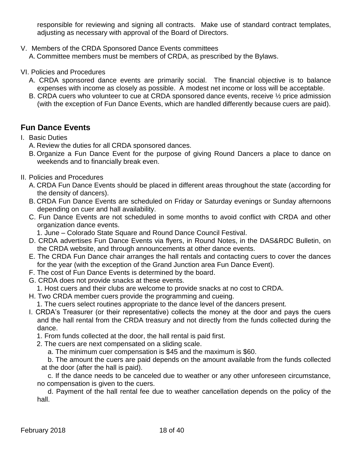responsible for reviewing and signing all contracts. Make use of standard contract templates, adjusting as necessary with approval of the Board of Directors.

V. Members of the CRDA Sponsored Dance Events committees

A. Committee members must be members of CRDA, as prescribed by the Bylaws.

- VI. Policies and Procedures
	- A. CRDA sponsored dance events are primarily social. The financial objective is to balance expenses with income as closely as possible. A modest net income or loss will be acceptable.
	- B. CRDA cuers who volunteer to cue at CRDA sponsored dance events, receive ½ price admission (with the exception of Fun Dance Events, which are handled differently because cuers are paid).

### <span id="page-17-0"></span>**Fun Dance Events**

- I. Basic Duties
	- A. Review the duties for all CRDA sponsored dances.
	- B. Organize a Fun Dance Event for the purpose of giving Round Dancers a place to dance on weekends and to financially break even.
- II. Policies and Procedures
	- A. CRDA Fun Dance Events should be placed in different areas throughout the state (according for the density of dancers).
	- B. CRDA Fun Dance Events are scheduled on Friday or Saturday evenings or Sunday afternoons depending on cuer and hall availability.
	- C. Fun Dance Events are not scheduled in some months to avoid conflict with CRDA and other organization dance events.
		- 1. June Colorado State Square and Round Dance Council Festival.
	- D. CRDA advertises Fun Dance Events via flyers, in Round Notes, in the DAS&RDC Bulletin, on the CRDA website, and through announcements at other dance events.
	- E. The CRDA Fun Dance chair arranges the hall rentals and contacting cuers to cover the dances for the year (with the exception of the Grand Junction area Fun Dance Event).
	- F. The cost of Fun Dance Events is determined by the board.
	- G. CRDA does not provide snacks at these events.
		- 1. Host cuers and their clubs are welcome to provide snacks at no cost to CRDA.
	- H. Two CRDA member cuers provide the programming and cueing.
		- 1. The cuers select routines appropriate to the dance level of the dancers present.
	- I. CRDA's Treasurer (or their representative) collects the money at the door and pays the cuers and the hall rental from the CRDA treasury and not directly from the funds collected during the dance.
		- 1. From funds collected at the door, the hall rental is paid first.
		- 2. The cuers are next compensated on a sliding scale.
			- a. The minimum cuer compensation is \$45 and the maximum is \$60.

b. The amount the cuers are paid depends on the amount available from the funds collected at the door (after the hall is paid).

c. If the dance needs to be canceled due to weather or any other unforeseen circumstance, no compensation is given to the cuers.

d. Payment of the hall rental fee due to weather cancellation depends on the policy of the hall.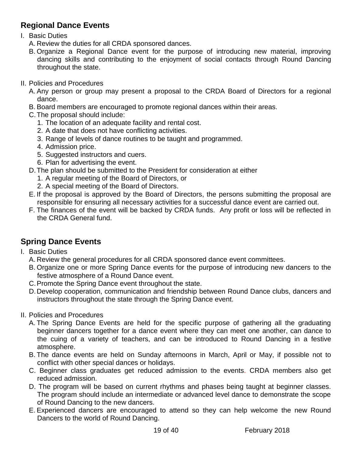### <span id="page-18-0"></span>**Regional Dance Events**

#### I. Basic Duties

- A. Review the duties for all CRDA sponsored dances.
- B. Organize a Regional Dance event for the purpose of introducing new material, improving dancing skills and contributing to the enjoyment of social contacts through Round Dancing throughout the state.
- II. Policies and Procedures
	- A. Any person or group may present a proposal to the CRDA Board of Directors for a regional dance.
	- B. Board members are encouraged to promote regional dances within their areas.
	- C.The proposal should include:
		- 1. The location of an adequate facility and rental cost.
		- 2. A date that does not have conflicting activities.
		- 3. Range of levels of dance routines to be taught and programmed.
		- 4. Admission price.
		- 5. Suggested instructors and cuers.
		- 6. Plan for advertising the event.
	- D.The plan should be submitted to the President for consideration at either
		- 1. A regular meeting of the Board of Directors, or
		- 2. A special meeting of the Board of Directors.
	- E. If the proposal is approved by the Board of Directors, the persons submitting the proposal are responsible for ensuring all necessary activities for a successful dance event are carried out.
	- F. The finances of the event will be backed by CRDA funds. Any profit or loss will be reflected in the CRDA General fund.

### <span id="page-18-1"></span>**Spring Dance Events**

- I. Basic Duties
	- A. Review the general procedures for all CRDA sponsored dance event committees.
	- B. Organize one or more Spring Dance events for the purpose of introducing new dancers to the festive atmosphere of a Round Dance event.
	- C.Promote the Spring Dance event throughout the state.
	- D.Develop cooperation, communication and friendship between Round Dance clubs, dancers and instructors throughout the state through the Spring Dance event.
- II. Policies and Procedures
	- A. The Spring Dance Events are held for the specific purpose of gathering all the graduating beginner dancers together for a dance event where they can meet one another, can dance to the cuing of a variety of teachers, and can be introduced to Round Dancing in a festive atmosphere.
	- B. The dance events are held on Sunday afternoons in March, April or May, if possible not to conflict with other special dances or holidays.
	- C. Beginner class graduates get reduced admission to the events. CRDA members also get reduced admission.
	- D. The program will be based on current rhythms and phases being taught at beginner classes. The program should include an intermediate or advanced level dance to demonstrate the scope of Round Dancing to the new dancers.
	- E. Experienced dancers are encouraged to attend so they can help welcome the new Round Dancers to the world of Round Dancing.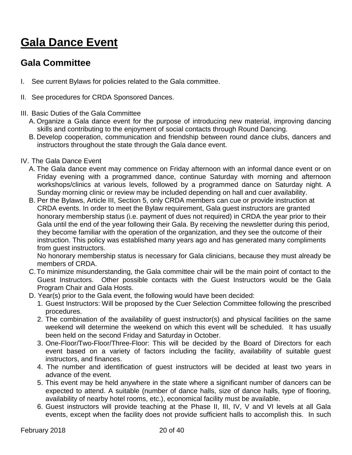# <span id="page-19-0"></span>**Gala Dance Event**

### <span id="page-19-1"></span>**Gala Committee**

- I. See current Bylaws for policies related to the Gala committee.
- II. See procedures for CRDA Sponsored Dances.
- III. Basic Duties of the Gala Committee
	- A. Organize a Gala dance event for the purpose of introducing new material, improving dancing skills and contributing to the enjoyment of social contacts through Round Dancing.
	- B. Develop cooperation, communication and friendship between round dance clubs, dancers and instructors throughout the state through the Gala dance event.
- IV. The Gala Dance Event
	- A. The Gala dance event may commence on Friday afternoon with an informal dance event or on Friday evening with a programmed dance, continue Saturday with morning and afternoon workshops/clinics at various levels, followed by a programmed dance on Saturday night. A Sunday morning clinic or review may be included depending on hall and cuer availability.
	- B. Per the Bylaws, Article III, Section 5, only CRDA members can cue or provide instruction at CRDA events. In order to meet the Bylaw requirement, Gala guest instructors are granted honorary membership status (i.e. payment of dues not required) in CRDA the year prior to their Gala until the end of the year following their Gala. By receiving the newsletter during this period, they become familiar with the operation of the organization, and they see the outcome of their instruction. This policy was established many years ago and has generated many compliments from guest instructors.

No honorary membership status is necessary for Gala clinicians, because they must already be members of CRDA.

- C.To minimize misunderstanding, the Gala committee chair will be the main point of contact to the Guest Instructors. Other possible contacts with the Guest Instructors would be the Gala Program Chair and Gala Hosts.
- D. Year(s) prior to the Gala event, the following would have been decided:
	- 1. Guest Instructors: Will be proposed by the Cuer Selection Committee following the prescribed procedures.
	- 2. The combination of the availability of guest instructor(s) and physical facilities on the same weekend will determine the weekend on which this event will be scheduled. It has usually been held on the second Friday and Saturday in October.
	- 3. One-Floor/Two-Floor/Three-Floor: This will be decided by the Board of Directors for each event based on a variety of factors including the facility, availability of suitable guest instructors, and finances.
	- 4. The number and identification of guest instructors will be decided at least two years in advance of the event.
	- 5. This event may be held anywhere in the state where a significant number of dancers can be expected to attend. A suitable (number of dance halls, size of dance halls, type of flooring, availability of nearby hotel rooms, etc.), economical facility must be available.
	- 6. Guest instructors will provide teaching at the Phase II, III, IV, V and VI levels at all Gala events, except when the facility does not provide sufficient halls to accomplish this. In such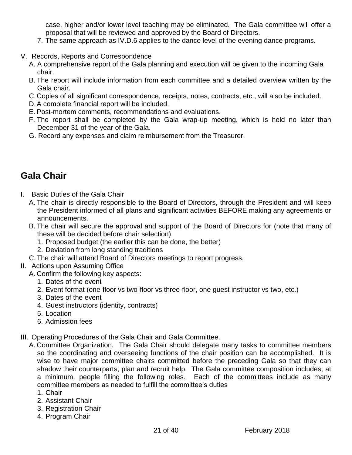case, higher and/or lower level teaching may be eliminated. The Gala committee will offer a proposal that will be reviewed and approved by the Board of Directors.

- 7. The same approach as IV.D.6 applies to the dance level of the evening dance programs.
- V. Records, Reports and Correspondence
	- A. A comprehensive report of the Gala planning and execution will be given to the incoming Gala chair.
	- B. The report will include information from each committee and a detailed overview written by the Gala chair.
	- C.Copies of all significant correspondence, receipts, notes, contracts, etc., will also be included.
	- D.A complete financial report will be included.
	- E. Post-mortem comments, recommendations and evaluations.
	- F. The report shall be completed by the Gala wrap-up meeting, which is held no later than December 31 of the year of the Gala.
	- G. Record any expenses and claim reimbursement from the Treasurer.

## <span id="page-20-0"></span>**Gala Chair**

- I. Basic Duties of the Gala Chair
	- A. The chair is directly responsible to the Board of Directors, through the President and will keep the President informed of all plans and significant activities BEFORE making any agreements or announcements.
	- B. The chair will secure the approval and support of the Board of Directors for (note that many of these will be decided before chair selection):
		- 1. Proposed budget (the earlier this can be done, the better)
		- 2. Deviation from long standing traditions
	- C.The chair will attend Board of Directors meetings to report progress.
- II. Actions upon Assuming Office
	- A. Confirm the following key aspects:
		- 1. Dates of the event
		- 2. Event format (one-floor vs two-floor vs three-floor, one guest instructor vs two, etc.)
		- 3. Dates of the event
		- 4. Guest instructors (identity, contracts)
		- 5. Location
		- 6. Admission fees
- III. Operating Procedures of the Gala Chair and Gala Committee.
	- A. Committee Organization. The Gala Chair should delegate many tasks to committee members so the coordinating and overseeing functions of the chair position can be accomplished. It is wise to have major committee chairs committed before the preceding Gala so that they can shadow their counterparts, plan and recruit help. The Gala committee composition includes, at a minimum, people filling the following roles. Each of the committees include as many committee members as needed to fulfill the committee's duties
		- 1. Chair
		- 2. Assistant Chair
		- 3. Registration Chair
		- 4. Program Chair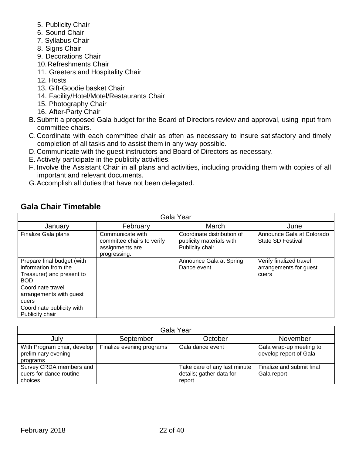- 5. Publicity Chair
- 6. Sound Chair
- 7. Syllabus Chair
- 8. Signs Chair
- 9. Decorations Chair
- 10.Refreshments Chair
- 11. Greeters and Hospitality Chair
- 12. Hosts
- 13. Gift-Goodie basket Chair
- 14. Facility/Hotel/Motel/Restaurants Chair
- 15. Photography Chair
- 16. After-Party Chair
- B. Submit a proposed Gala budget for the Board of Directors review and approval, using input from committee chairs.
- C.Coordinate with each committee chair as often as necessary to insure satisfactory and timely completion of all tasks and to assist them in any way possible.
- D.Communicate with the guest instructors and Board of Directors as necessary.
- E. Actively participate in the publicity activities.
- F. Involve the Assistant Chair in all plans and activities, including providing them with copies of all important and relevant documents.
- G.Accomplish all duties that have not been delegated.

| Gala Year                                                                                     |                                                                                   |                                                                           |                                                            |
|-----------------------------------------------------------------------------------------------|-----------------------------------------------------------------------------------|---------------------------------------------------------------------------|------------------------------------------------------------|
| January                                                                                       | February                                                                          | March                                                                     | June                                                       |
| Finalize Gala plans                                                                           | Communicate with<br>committee chairs to verify<br>assignments are<br>progressing. | Coordinate distribution of<br>publicity materials with<br>Publicity chair | Announce Gala at Colorado<br>State SD Festival             |
| Prepare final budget (with<br>information from the<br>Treasurer) and present to<br><b>BOD</b> |                                                                                   | Announce Gala at Spring<br>Dance event                                    | Verify finalized travel<br>arrangements for guest<br>cuers |
| Coordinate travel<br>arrangements with guest<br>cuers                                         |                                                                                   |                                                                           |                                                            |
| Coordinate publicity with<br>Publicity chair                                                  |                                                                                   |                                                                           |                                                            |

 $\overline{\phantom{a}}$ 

### <span id="page-21-0"></span>**Gala Chair Timetable**

| Gala Year                                                      |                           |                                                                    |                                                   |
|----------------------------------------------------------------|---------------------------|--------------------------------------------------------------------|---------------------------------------------------|
| July                                                           | September                 | October                                                            | November                                          |
| With Program chair, develop<br>preliminary evening<br>programs | Finalize evening programs | Gala dance event                                                   | Gala wrap-up meeting to<br>develop report of Gala |
| Survey CRDA members and<br>cuers for dance routine<br>choices  |                           | Take care of any last minute<br>details; gather data for<br>report | Finalize and submit final<br>Gala report          |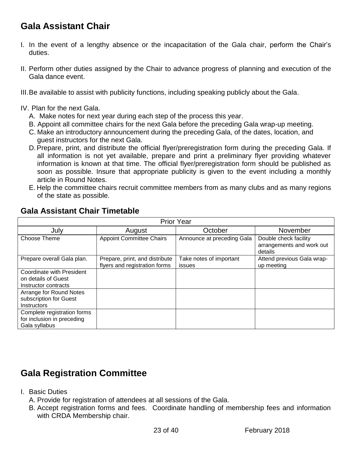## <span id="page-22-0"></span>**Gala Assistant Chair**

- I. In the event of a lengthy absence or the incapacitation of the Gala chair, perform the Chair's duties.
- II. Perform other duties assigned by the Chair to advance progress of planning and execution of the Gala dance event.
- III.Be available to assist with publicity functions, including speaking publicly about the Gala.
- IV. Plan for the next Gala.
	- A. Make notes for next year during each step of the process this year.
	- B. Appoint all committee chairs for the next Gala before the preceding Gala wrap-up meeting.
	- C. Make an introductory announcement during the preceding Gala, of the dates, location, and guest instructors for the next Gala.
	- D.Prepare, print, and distribute the official flyer/preregistration form during the preceding Gala. If all information is not yet available, prepare and print a preliminary flyer providing whatever information is known at that time. The official flyer/preregistration form should be published as soon as possible. Insure that appropriate publicity is given to the event including a monthly article in Round Notes.
	- E. Help the committee chairs recruit committee members from as many clubs and as many regions of the state as possible.

| <b>Prior Year</b>                                                               |                                                                 |                                   |                                                               |
|---------------------------------------------------------------------------------|-----------------------------------------------------------------|-----------------------------------|---------------------------------------------------------------|
| July                                                                            | August                                                          | October                           | November                                                      |
| Choose Theme                                                                    | <b>Appoint Committee Chairs</b>                                 | Announce at preceding Gala        | Double check facility<br>arrangements and work out<br>details |
| Prepare overall Gala plan.                                                      | Prepare, print, and distribute<br>flyers and registration forms | Take notes of important<br>issues | Attend previous Gala wrap-<br>up meeting                      |
| <b>Coordinate with President</b><br>on details of Guest<br>Instructor contracts |                                                                 |                                   |                                                               |
| Arrange for Round Notes<br>subscription for Guest<br>Instructors                |                                                                 |                                   |                                                               |
| Complete registration forms<br>for inclusion in preceding<br>Gala syllabus      |                                                                 |                                   |                                                               |

### <span id="page-22-1"></span>**Gala Assistant Chair Timetable**

## <span id="page-22-2"></span>**Gala Registration Committee**

- I. Basic Duties
	- A. Provide for registration of attendees at all sessions of the Gala.
	- B. Accept registration forms and fees. Coordinate handling of membership fees and information with CRDA Membership chair.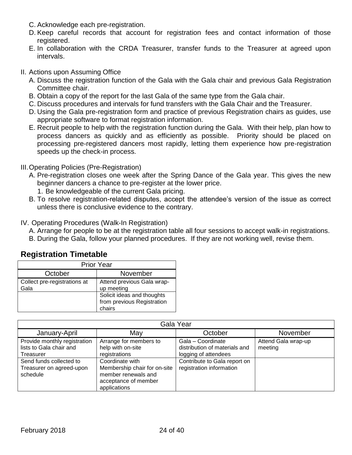- C. Acknowledge each pre-registration.
- D. Keep careful records that account for registration fees and contact information of those registered.
- E. In collaboration with the CRDA Treasurer, transfer funds to the Treasurer at agreed upon intervals.
- II. Actions upon Assuming Office
	- A. Discuss the registration function of the Gala with the Gala chair and previous Gala Registration Committee chair.
	- B. Obtain a copy of the report for the last Gala of the same type from the Gala chair.
	- C. Discuss procedures and intervals for fund transfers with the Gala Chair and the Treasurer.
	- D. Using the Gala pre-registration form and practice of previous Registration chairs as guides, use appropriate software to format registration information.
	- E. Recruit people to help with the registration function during the Gala. With their help, plan how to process dancers as quickly and as efficiently as possible. Priority should be placed on processing pre-registered dancers most rapidly, letting them experience how pre-registration speeds up the check-in process.
- III.Operating Policies (Pre-Registration)
	- A. Pre-registration closes one week after the Spring Dance of the Gala year. This gives the new beginner dancers a chance to pre-register at the lower price.
		- 1. Be knowledgeable of the current Gala pricing.
	- B. To resolve registration-related disputes, accept the attendee's version of the issue as correct unless there is conclusive evidence to the contrary.
- IV. Operating Procedures (Walk-In Registration)
	- A. Arrange for people to be at the registration table all four sessions to accept walk-in registrations.
	- B. During the Gala, follow your planned procedures. If they are not working well, revise them.

| <b>Prior Year</b>                    |                                                                    |  |
|--------------------------------------|--------------------------------------------------------------------|--|
| October                              | November                                                           |  |
| Collect pre-registrations at<br>Gala | Attend previous Gala wrap-<br>up meeting                           |  |
|                                      | Solicit ideas and thoughts<br>from previous Registration<br>chairs |  |

<span id="page-23-0"></span>

| Gala Year                    |                              |                               |                     |
|------------------------------|------------------------------|-------------------------------|---------------------|
| January-April                | May                          | October                       | November            |
| Provide monthly registration | Arrange for members to       | Gala - Coordinate             | Attend Gala wrap-up |
| lists to Gala chair and      | help with on-site            | distribution of materials and | meeting             |
| Treasurer                    | registrations                | logging of attendees          |                     |
| Send funds collected to      | Coordinate with              | Contribute to Gala report on  |                     |
| Treasurer on agreed-upon     | Membership chair for on-site | registration information      |                     |
| schedule                     | member renewals and          |                               |                     |
|                              | acceptance of member         |                               |                     |
|                              | applications                 |                               |                     |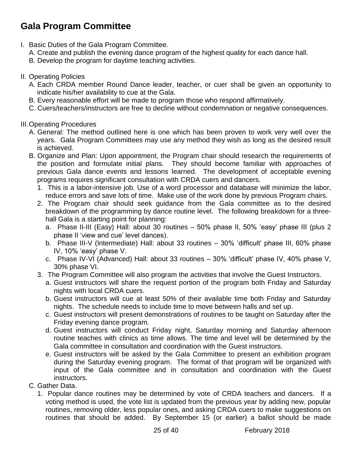## <span id="page-24-0"></span>**Gala Program Committee**

- I. Basic Duties of the Gala Program Committee.
	- A. Create and publish the evening dance program of the highest quality for each dance hall.
	- B. Develop the program for daytime teaching activities.
- II. Operating Policies
	- A. Each CRDA member Round Dance leader, teacher, or cuer shall be given an opportunity to indicate his/her availability to cue at the Gala.
	- B. Every reasonable effort will be made to program those who respond affirmatively.
	- C. Cuers/teachers/instructors are free to decline without condemnation or negative consequences.

#### III.Operating Procedures

- A. General: The method outlined here is one which has been proven to work very well over the years. Gala Program Committees may use any method they wish as long as the desired result is achieved.
- B. Organize and Plan: Upon appointment, the Program chair should research the requirements of the position and formulate initial plans. They should become familiar with approaches of previous Gala dance events and lessons learned. The development of acceptable evening programs requires significant consultation with CRDA cuers and dancers.
	- 1. This is a labor-intensive job. Use of a word processor and database will minimize the labor, reduce errors and save lots of time. Make use of the work done by previous Program chairs.
	- 2. The Program chair should seek guidance from the Gala committee as to the desired breakdown of the programming by dance routine level. The following breakdown for a threehall Gala is a starting point for planning:
		- a. Phase II-III (Easy) Hall: about 30 routines 50% phase II, 50% 'easy' phase III (plus 2 phase II 'view and cue' level dances).
		- b. Phase III-V (Intermediate) Hall: about 33 routines 30% 'difficult' phase III, 60% phase IV, 10% 'easy' phase V.
		- c. Phase IV-VI (Advanced) Hall: about 33 routines 30% 'difficult' phase IV, 40% phase V, 30% phase VI.
	- 3. The Program Committee will also program the activities that involve the Guest Instructors.
		- a. Guest instructors will share the request portion of the program both Friday and Saturday nights with local CRDA cuers.
		- b. Guest instructors will cue at least 50% of their available time both Friday and Saturday nights. The schedule needs to include time to move between halls and set up.
		- c. Guest instructors will present demonstrations of routines to be taught on Saturday after the Friday evening dance program.
		- d. Guest instructors will conduct Friday night, Saturday morning and Saturday afternoon routine teaches with clinics as time allows. The time and level will be determined by the Gala committee in consultation and coordination with the Guest instructors.
		- e. Guest instructors will be asked by the Gala Committee to present an exhibition program during the Saturday evening program. The format of that program will be organized with input of the Gala committee and in consultation and coordination with the Guest instructors.
- C. Gather Data.
	- 1. Popular dance routines may be determined by vote of CRDA teachers and dancers. If a voting method is used, the vote list is updated from the previous year by adding new, popular routines, removing older, less popular ones, and asking CRDA cuers to make suggestions on routines that should be added. By September 15 (or earlier) a ballot should be made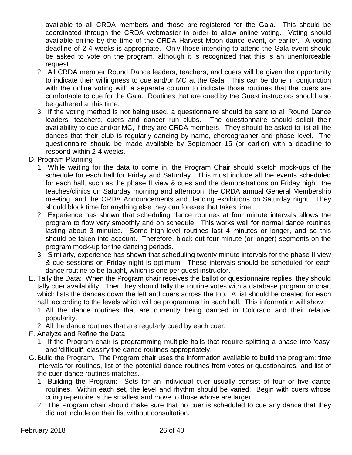available to all CRDA members and those pre-registered for the Gala. This should be coordinated through the CRDA webmaster in order to allow online voting. Voting should available online by the time of the CRDA Harvest Moon dance event, or earlier. A voting deadline of 2-4 weeks is appropriate. Only those intending to attend the Gala event should be asked to vote on the program, although it is recognized that this is an unenforceable request.

- 2. All CRDA member Round Dance leaders, teachers, and cuers will be given the opportunity to indicate their willingness to cue and/or MC at the Gala. This can be done in conjunction with the online voting with a separate column to indicate those routines that the cuers are comfortable to cue for the Gala. Routines that are cued by the Guest instructors should also be gathered at this time.
- 3. If the voting method is not being used, a questionnaire should be sent to all Round Dance leaders, teachers, cuers and dancer run clubs. The questionnaire should solicit their availability to cue and/or MC, if they are CRDA members. They should be asked to list all the dances that their club is regularly dancing by name, choreographer and phase level. The questionnaire should be made available by September 15 (or earlier) with a deadline to respond within 2-4 weeks.
- D. Program Planning
	- 1. While waiting for the data to come in, the Program Chair should sketch mock-ups of the schedule for each hall for Friday and Saturday. This must include all the events scheduled for each hall, such as the phase II view & cues and the demonstrations on Friday night, the teaches/clinics on Saturday morning and afternoon, the CRDA annual General Membership meeting, and the CRDA Announcements and dancing exhibitions on Saturday night. They should block time for anything else they can foresee that takes time.
	- 2. Experience has shown that scheduling dance routines at four minute intervals allows the program to flow very smoothly and on schedule. This works well for normal dance routines lasting about 3 minutes. Some high-level routines last 4 minutes or longer, and so this should be taken into account. Therefore, block out four minute (or longer) segments on the program mock-up for the dancing periods.
	- 3. Similarly, experience has shown that scheduling twenty minute intervals for the phase II view & cue sessions on Friday night is optimum. These intervals should be scheduled for each dance routine to be taught, which is one per guest instructor.
- E. Tally the Data: When the Program chair receives the ballot or questionnaire replies, they should tally cuer availability. Then they should tally the routine votes with a database program or chart which lists the dances down the left and cuers across the top. A list should be created for each hall, according to the levels which will be programmed in each hall. This information will show:
	- 1. All the dance routines that are currently being danced in Colorado and their relative popularity.
	- 2. All the dance routines that are regularly cued by each cuer.
- F. Analyze and Refine the Data
	- 1. If the Program chair is programming multiple halls that require splitting a phase into 'easy' and 'difficult', classify the dance routines appropriately.
- G.Build the Program. The Program chair uses the information available to build the program: time intervals for routines, list of the potential dance routines from votes or questionaires, and list of the cuer-dance routines matches.
	- 1. Building the Program: Sets for an individual cuer usually consist of four or five dance routines. Within each set, the level and rhythm should be varied. Begin with cuers whose cuing repertoire is the smallest and move to those whose are larger.
	- 2. The Program chair should make sure that no cuer is scheduled to cue any dance that they did not include on their list without consultation.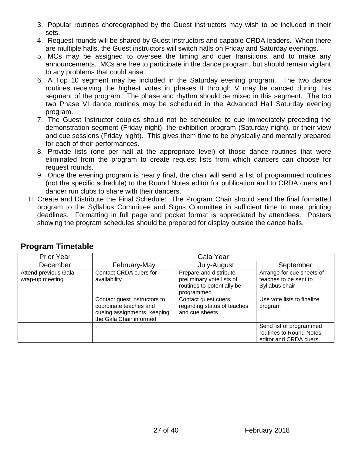- 3. Popular routines choreographed by the Guest instructors may wish to be included in their sets.
- 4. Request rounds will be shared by Guest Instructors and capable CRDA leaders. When there are multiple halls, the Guest instructors will switch halls on Friday and Saturday evenings.
- 5. MCs may be assigned to oversee the timing and cuer transitions, and to make any announcements. MCs are free to participate in the dance program, but should remain vigilant to any problems that could arise.
- 6. A Top 10 segment may be included in the Saturday evening program. The two dance routines receiving the highest votes in phases II through V may be danced during this segment of the program. The phase and rhythm should be mixed in this segment. The top two Phase VI dance routines may be scheduled in the Advanced Hall Saturday evening program.
- 7. The Guest Instructor couples should not be scheduled to cue immediately preceding the demonstration segment (Friday night), the exhibition program (Saturday night), or their view and cue sessions (Friday night). This gives them time to be physically and mentally prepared for each of their performances.
- 8. Provide lists (one per hall at the appropriate level) of those dance routines that were eliminated from the program to create request lists from which dancers can choose for request rounds.
- 9. Once the evening program is nearly final, the chair will send a list of programmed routines (not the specific schedule) to the Round Notes editor for publication and to CRDA cuers and dancer run clubs to share with their dancers.
- H. Create and Distribute the Final Schedule: The Program Chair should send the final formatted program to the Syllabus Committee and Signs Committee in sufficient time to meet printing deadlines. Formatting in full page and pocket format is appreciated by attendees. Posters showing the program schedules should be prepared for display outside the dance halls.

| <b>Prior Year</b>                       | Gala Year                                                                                                        |                                                                                                 |                                                                             |
|-----------------------------------------|------------------------------------------------------------------------------------------------------------------|-------------------------------------------------------------------------------------------------|-----------------------------------------------------------------------------|
| December                                | February-May                                                                                                     | July-August                                                                                     | September                                                                   |
| Attend previous Gala<br>wrap-up meeting | Contact CRDA cuers for<br>availability                                                                           | Prepare and distribute<br>preliminary vote lists of<br>routines to potentially be<br>programmed | Arrange for cue sheets of<br>teaches to be sent to<br>Syllabus chair        |
|                                         | Contact guest instructors to<br>coordinate teaches and<br>cueing assignments, keeping<br>the Gala Chair informed | Contact guest cuers<br>regarding status of teaches<br>and cue sheets                            | Use vote lists to finalize<br>program                                       |
|                                         |                                                                                                                  |                                                                                                 | Send list of programmed<br>routines to Round Notes<br>editor and CRDA cuers |

### <span id="page-26-0"></span>**Program Timetable**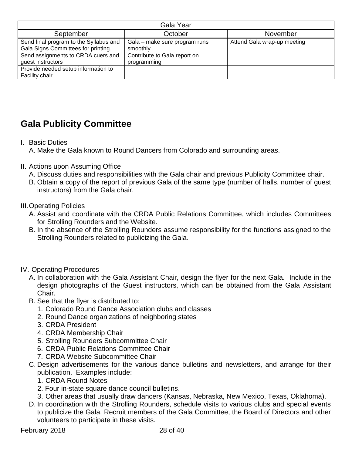| Gala Year                                                                     |                                             |                             |  |  |
|-------------------------------------------------------------------------------|---------------------------------------------|-----------------------------|--|--|
| September                                                                     | October                                     | November                    |  |  |
| Send final program to the Syllabus and<br>Gala Signs Committees for printing. | Gala – make sure program runs<br>smoothly   | Attend Gala wrap-up meeting |  |  |
| Send assignments to CRDA cuers and<br>guest instructors                       | Contribute to Gala report on<br>programming |                             |  |  |
| Provide needed setup information to<br>Facility chair                         |                                             |                             |  |  |

## <span id="page-27-0"></span>**Gala Publicity Committee**

- I. Basic Duties
	- A. Make the Gala known to Round Dancers from Colorado and surrounding areas.
- II. Actions upon Assuming Office
	- A. Discuss duties and responsibilities with the Gala chair and previous Publicity Committee chair.
	- B. Obtain a copy of the report of previous Gala of the same type (number of halls, number of guest instructors) from the Gala chair.
- III.Operating Policies
	- A. Assist and coordinate with the CRDA Public Relations Committee, which includes Committees for Strolling Rounders and the Website.
	- B. In the absence of the Strolling Rounders assume responsibility for the functions assigned to the Strolling Rounders related to publicizing the Gala.
- IV. Operating Procedures
	- A. In collaboration with the Gala Assistant Chair, design the flyer for the next Gala. Include in the design photographs of the Guest instructors, which can be obtained from the Gala Assistant Chair.
	- B. See that the flyer is distributed to:
		- 1. Colorado Round Dance Association clubs and classes
		- 2. Round Dance organizations of neighboring states
		- 3. CRDA President
		- 4. CRDA Membership Chair
		- 5. Strolling Rounders Subcommittee Chair
		- 6. CRDA Public Relations Committee Chair
		- 7. CRDA Website Subcommittee Chair
	- C. Design advertisements for the various dance bulletins and newsletters, and arrange for their publication. Examples include:
		- 1. CRDA Round Notes
		- 2. Four in-state square dance council bulletins.
		- 3. Other areas that usually draw dancers (Kansas, Nebraska, New Mexico, Texas, Oklahoma).
	- D. In coordination with the Strolling Rounders, schedule visits to various clubs and special events to publicize the Gala. Recruit members of the Gala Committee, the Board of Directors and other volunteers to participate in these visits.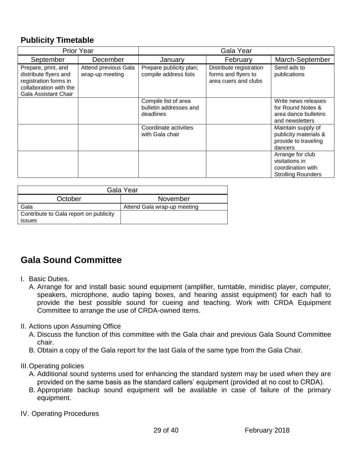### <span id="page-28-0"></span>**Publicity Timetable**

| <b>Prior Year</b>                                                                                                       |                                         | Gala Year                                                   |                                                                        |                                                                                      |
|-------------------------------------------------------------------------------------------------------------------------|-----------------------------------------|-------------------------------------------------------------|------------------------------------------------------------------------|--------------------------------------------------------------------------------------|
| September                                                                                                               | December                                | January                                                     | February                                                               | March-September                                                                      |
| Prepare, print, and<br>distribute flyers and<br>registration forms in<br>collaboration with the<br>Gala Assistant Chair | Attend previous Gala<br>wrap-up meeting | Prepare publicity plan;<br>compile address lists            | Distribute registration<br>forms and flyers to<br>area cuers and clubs | Send ads to<br>publications                                                          |
|                                                                                                                         |                                         | Compile list of area<br>bulletin addresses and<br>deadlines |                                                                        | Write news releases<br>for Round Notes &<br>area dance bulletins<br>and newsletters  |
|                                                                                                                         |                                         | Coordinate activities<br>with Gala chair                    |                                                                        | Maintain supply of<br>publicity materials &<br>provide to traveling<br>dancers       |
|                                                                                                                         |                                         |                                                             |                                                                        | Arrange for club<br>visitations in<br>coordination with<br><b>Strolling Rounders</b> |

| Gala Year                                               |                             |  |  |
|---------------------------------------------------------|-----------------------------|--|--|
| October                                                 | November                    |  |  |
| Gala                                                    | Attend Gala wrap-up meeting |  |  |
| Contribute to Gala report on publicity<br><i>issues</i> |                             |  |  |

## <span id="page-28-1"></span>**Gala Sound Committee**

- I. Basic Duties.
	- A. Arrange for and install basic sound equipment (amplifier, turntable, minidisc player, computer, speakers, microphone, audio taping boxes, and hearing assist equipment) for each hall to provide the best possible sound for cueing and teaching. Work with CRDA Equipment Committee to arrange the use of CRDA-owned items.
- II. Actions upon Assuming Office
	- A. Discuss the function of this committee with the Gala chair and previous Gala Sound Committee chair.
	- B. Obtain a copy of the Gala report for the last Gala of the same type from the Gala Chair.
- III.Operating policies
	- A. Additional sound systems used for enhancing the standard system may be used when they are provided on the same basis as the standard callers' equipment (provided at no cost to CRDA).
	- B. Appropriate backup sound equipment will be available in case of failure of the primary equipment.
- IV. Operating Procedures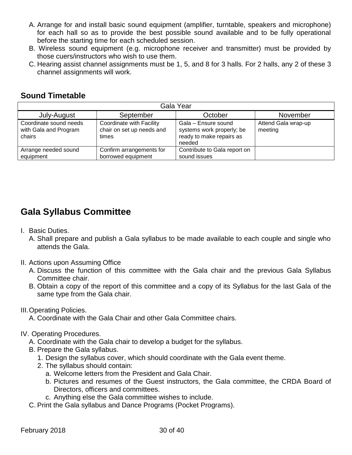- A. Arrange for and install basic sound equipment (amplifier, turntable, speakers and microphone) for each hall so as to provide the best possible sound available and to be fully operational before the starting time for each scheduled session.
- B. Wireless sound equipment (e.g. microphone receiver and transmitter) must be provided by those cuers/instructors who wish to use them.
- C. Hearing assist channel assignments must be 1, 5, and 8 for 3 halls. For 2 halls, any 2 of these 3 channel assignments will work.

### <span id="page-29-0"></span>**Sound Timetable**

| Gala Year                                                 |                                                                |                                                                                        |                                |  |  |
|-----------------------------------------------------------|----------------------------------------------------------------|----------------------------------------------------------------------------------------|--------------------------------|--|--|
| July-August                                               | September                                                      | October                                                                                | November                       |  |  |
| Coordinate sound needs<br>with Gala and Program<br>chairs | Coordinate with Facility<br>chair on set up needs and<br>times | Gala - Ensure sound<br>systems work properly; be<br>ready to make repairs as<br>needed | Attend Gala wrap-up<br>meeting |  |  |
| Arrange needed sound<br>equipment                         | Confirm arrangements for<br>borrowed equipment                 | Contribute to Gala report on<br>sound issues                                           |                                |  |  |

### <span id="page-29-1"></span>**Gala Syllabus Committee**

- I. Basic Duties.
	- A. Shall prepare and publish a Gala syllabus to be made available to each couple and single who attends the Gala.
- II. Actions upon Assuming Office
	- A. Discuss the function of this committee with the Gala chair and the previous Gala Syllabus Committee chair.
	- B. Obtain a copy of the report of this committee and a copy of its Syllabus for the last Gala of the same type from the Gala chair.
- III.Operating Policies.
	- A. Coordinate with the Gala Chair and other Gala Committee chairs.

#### IV. Operating Procedures.

- A. Coordinate with the Gala chair to develop a budget for the syllabus.
- B. Prepare the Gala syllabus.
	- 1. Design the syllabus cover, which should coordinate with the Gala event theme.
	- 2. The syllabus should contain:
		- a. Welcome letters from the President and Gala Chair.
		- b. Pictures and resumes of the Guest instructors, the Gala committee, the CRDA Board of Directors, officers and committees.
		- c. Anything else the Gala committee wishes to include.
- C. Print the Gala syllabus and Dance Programs (Pocket Programs).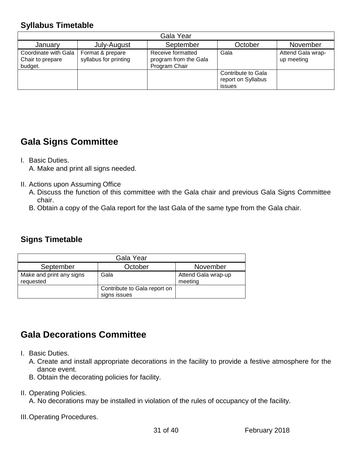### <span id="page-30-0"></span>**Syllabus Timetable**

| Gala Year                                           |                                           |                                                             |                                                    |                                 |
|-----------------------------------------------------|-------------------------------------------|-------------------------------------------------------------|----------------------------------------------------|---------------------------------|
| January                                             | July-August                               | September                                                   | October                                            | November                        |
| Coordinate with Gala<br>Chair to prepare<br>budget. | Format & prepare<br>syllabus for printing | Receive formatted<br>program from the Gala<br>Program Chair | Gala                                               | Attend Gala wrap-<br>up meeting |
|                                                     |                                           |                                                             | Contribute to Gala<br>report on Syllabus<br>issues |                                 |

### <span id="page-30-1"></span>**Gala Signs Committee**

I. Basic Duties.

A. Make and print all signs needed.

- II. Actions upon Assuming Office
	- A. Discuss the function of this committee with the Gala chair and previous Gala Signs Committee chair.
	- B. Obtain a copy of the Gala report for the last Gala of the same type from the Gala chair.

### <span id="page-30-2"></span>**Signs Timetable**

| Gala Year                             |                                              |                                |  |  |
|---------------------------------------|----------------------------------------------|--------------------------------|--|--|
| September                             | October                                      | November                       |  |  |
| Make and print any signs<br>requested | Gala                                         | Attend Gala wrap-up<br>meeting |  |  |
|                                       | Contribute to Gala report on<br>signs issues |                                |  |  |

## <span id="page-30-3"></span>**Gala Decorations Committee**

- I. Basic Duties.
	- A. Create and install appropriate decorations in the facility to provide a festive atmosphere for the dance event.
	- B. Obtain the decorating policies for facility.
- II. Operating Policies.

A. No decorations may be installed in violation of the rules of occupancy of the facility.

III.Operating Procedures.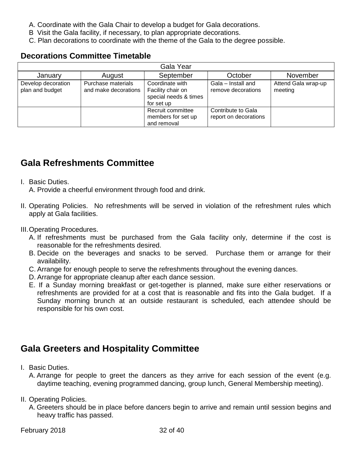- A. Coordinate with the Gala Chair to develop a budget for Gala decorations.
- B Visit the Gala facility, if necessary, to plan appropriate decorations.
- C. Plan decorations to coordinate with the theme of the Gala to the degree possible.

#### <span id="page-31-0"></span>**Decorations Committee Timetable**

| Gala Year                             |                                            |                                                                             |                                             |                                |  |
|---------------------------------------|--------------------------------------------|-----------------------------------------------------------------------------|---------------------------------------------|--------------------------------|--|
| January                               | August                                     | September                                                                   | October                                     | November                       |  |
| Develop decoration<br>plan and budget | Purchase materials<br>and make decorations | Coordinate with<br>Facility chair on<br>special needs & times<br>for set up | Gala - Install and<br>remove decorations    | Attend Gala wrap-up<br>meeting |  |
|                                       |                                            | Recruit committee<br>members for set up<br>and removal                      | Contribute to Gala<br>report on decorations |                                |  |

### <span id="page-31-1"></span>**Gala Refreshments Committee**

#### I. Basic Duties.

A. Provide a cheerful environment through food and drink.

- II. Operating Policies. No refreshments will be served in violation of the refreshment rules which apply at Gala facilities.
- III.Operating Procedures.
	- A. If refreshments must be purchased from the Gala facility only, determine if the cost is reasonable for the refreshments desired.
	- B. Decide on the beverages and snacks to be served. Purchase them or arrange for their availability.
	- C. Arrange for enough people to serve the refreshments throughout the evening dances.
	- D. Arrange for appropriate cleanup after each dance session.
	- E. If a Sunday morning breakfast or get-together is planned, make sure either reservations or refreshments are provided for at a cost that is reasonable and fits into the Gala budget. If a Sunday morning brunch at an outside restaurant is scheduled, each attendee should be responsible for his own cost.

### <span id="page-31-2"></span>**Gala Greeters and Hospitality Committee**

- I. Basic Duties.
	- A. Arrange for people to greet the dancers as they arrive for each session of the event (e.g. daytime teaching, evening programmed dancing, group lunch, General Membership meeting).
- II. Operating Policies.
	- A. Greeters should be in place before dancers begin to arrive and remain until session begins and heavy traffic has passed.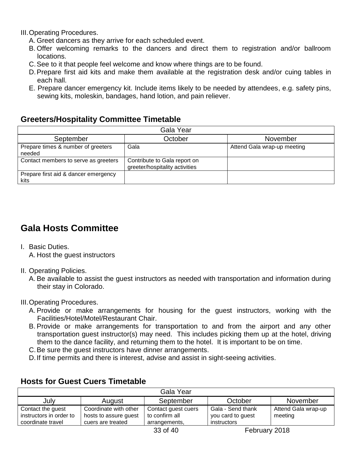III.Operating Procedures.

- A. Greet dancers as they arrive for each scheduled event.
- B. Offer welcoming remarks to the dancers and direct them to registration and/or ballroom locations.
- C.See to it that people feel welcome and know where things are to be found.
- D.Prepare first aid kits and make them available at the registration desk and/or cuing tables in each hall.
- E. Prepare dancer emergency kit. Include items likely to be needed by attendees, e.g. safety pins, sewing kits, moleskin, bandages, hand lotion, and pain reliever.

### <span id="page-32-0"></span>**Greeters/Hospitality Committee Timetable**

| Gala Year                                    |                                                                |                             |  |  |  |
|----------------------------------------------|----------------------------------------------------------------|-----------------------------|--|--|--|
| September                                    | October                                                        | November                    |  |  |  |
| Prepare times & number of greeters<br>needed | Gala                                                           | Attend Gala wrap-up meeting |  |  |  |
| Contact members to serve as greeters         | Contribute to Gala report on<br>greeter/hospitality activities |                             |  |  |  |
| Prepare first aid & dancer emergency<br>kits |                                                                |                             |  |  |  |

## <span id="page-32-1"></span>**Gala Hosts Committee**

I. Basic Duties.

A. Host the guest instructors

#### II. Operating Policies.

A. Be available to assist the guest instructors as needed with transportation and information during their stay in Colorado.

#### III.Operating Procedures.

- A. Provide or make arrangements for housing for the guest instructors, working with the Facilities/Hotel/Motel/Restaurant Chair.
- B. Provide or make arrangements for transportation to and from the airport and any other transportation guest instructor(s) may need. This includes picking them up at the hotel, driving them to the dance facility, and returning them to the hotel. It is important to be on time.
- C.Be sure the guest instructors have dinner arrangements.
- D.If time permits and there is interest, advise and assist in sight-seeing activities.

### <span id="page-32-2"></span>**Hosts for Guest Cuers Timetable**

| Gala Year                                    |                                                |                                       |                                        |                                |
|----------------------------------------------|------------------------------------------------|---------------------------------------|----------------------------------------|--------------------------------|
| July                                         | August                                         | September                             | October                                | November                       |
| Contact the guest<br>instructors in order to | Coordinate with other<br>hosts to assure guest | Contact guest cuers<br>to confirm all | Gala - Send thank<br>you card to guest | Attend Gala wrap-up<br>meeting |
| coordinate travel                            | cuers are treated                              | arrangements,                         | instructors                            |                                |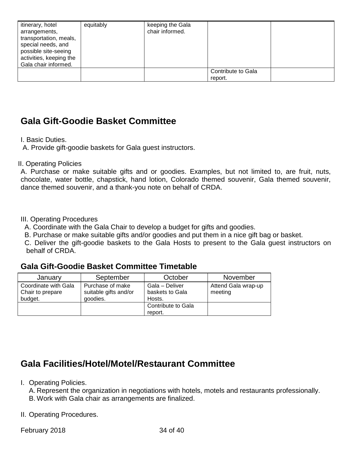| itinerary, hotel<br>arrangements,<br>transportation, meals,<br>special needs, and<br>possible site-seeing<br>activities, keeping the<br>Gala chair informed. | equitably | keeping the Gala<br>chair informed. |                               |  |
|--------------------------------------------------------------------------------------------------------------------------------------------------------------|-----------|-------------------------------------|-------------------------------|--|
|                                                                                                                                                              |           |                                     | Contribute to Gala<br>report. |  |

### <span id="page-33-0"></span>**Gala Gift-Goodie Basket Committee**

I. Basic Duties.

A. Provide gift-goodie baskets for Gala guest instructors.

#### II. Operating Policies

A. Purchase or make suitable gifts and or goodies. Examples, but not limited to, are fruit, nuts, chocolate, water bottle, chapstick, hand lotion, Colorado themed souvenir, Gala themed souvenir, dance themed souvenir, and a thank-you note on behalf of CRDA.

#### III. Operating Procedures

A. Coordinate with the Gala Chair to develop a budget for gifts and goodies.

B. Purchase or make suitable gifts and/or goodies and put them in a nice gift bag or basket.

 C. Deliver the gift-goodie baskets to the Gala Hosts to present to the Gala guest instructors on behalf of CRDA.

#### <span id="page-33-1"></span>**Gala Gift-Goodie Basket Committee Timetable**

| January                                             | September                                             | October                                     | November                       |
|-----------------------------------------------------|-------------------------------------------------------|---------------------------------------------|--------------------------------|
| Coordinate with Gala<br>Chair to prepare<br>budget. | Purchase of make<br>suitable gifts and/or<br>goodies. | Gala - Deliver<br>baskets to Gala<br>Hosts. | Attend Gala wrap-up<br>meeting |
|                                                     |                                                       | Contribute to Gala<br>report.               |                                |

### <span id="page-33-2"></span>**Gala Facilities/Hotel/Motel/Restaurant Committee**

#### I. Operating Policies.

A. Represent the organization in negotiations with hotels, motels and restaurants professionally. B. Work with Gala chair as arrangements are finalized.

II. Operating Procedures.

February 2018 34 of 40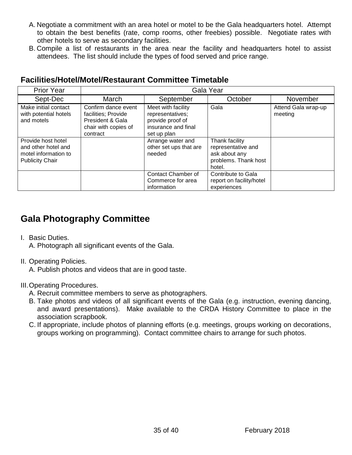- A. Negotiate a commitment with an area hotel or motel to be the Gala headquarters hotel. Attempt to obtain the best benefits (rate, comp rooms, other freebies) possible. Negotiate rates with other hotels to serve as secondary facilities.
- B. Compile a list of restaurants in the area near the facility and headquarters hotel to assist attendees. The list should include the types of food served and price range.

| <b>Prior Year</b>                                                                           | Gala Year                                                                                          |                                                                                                  |                                                                                         |                                |
|---------------------------------------------------------------------------------------------|----------------------------------------------------------------------------------------------------|--------------------------------------------------------------------------------------------------|-----------------------------------------------------------------------------------------|--------------------------------|
| Sept-Dec                                                                                    | March                                                                                              | September                                                                                        | October                                                                                 | November                       |
| Make initial contact<br>with potential hotels<br>and motels                                 | Confirm dance event<br>facilities; Provide<br>President & Gala<br>chair with copies of<br>contract | Meet with facility<br>representatives;<br>provide proof of<br>insurance and final<br>set up plan | Gala                                                                                    | Attend Gala wrap-up<br>meeting |
| Provide host hotel<br>and other hotel and<br>motel information to<br><b>Publicity Chair</b> |                                                                                                    | Arrange water and<br>other set ups that are<br>needed                                            | Thank facility<br>representative and<br>ask about any<br>problems. Thank host<br>hotel. |                                |
|                                                                                             |                                                                                                    | Contact Chamber of<br>Commerce for area<br>information                                           | Contribute to Gala<br>report on facility/hotel<br>experiences                           |                                |

### <span id="page-34-0"></span>**Facilities/Hotel/Motel/Restaurant Committee Timetable**

### <span id="page-34-1"></span>**Gala Photography Committee**

I. Basic Duties.

A. Photograph all significant events of the Gala.

II. Operating Policies.

A. Publish photos and videos that are in good taste.

III.Operating Procedures.

- A. Recruit committee members to serve as photographers.
- B. Take photos and videos of all significant events of the Gala (e.g. instruction, evening dancing, and award presentations). Make available to the CRDA History Committee to place in the association scrapbook.
- C. If appropriate, include photos of planning efforts (e.g. meetings, groups working on decorations, groups working on programming). Contact committee chairs to arrange for such photos.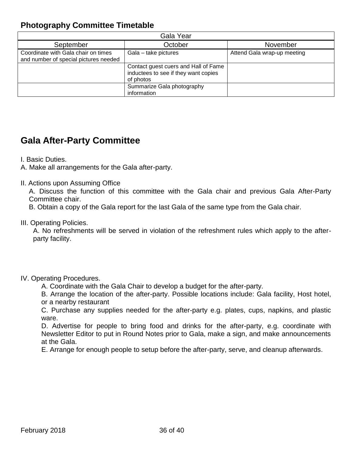### <span id="page-35-0"></span>**Photography Committee Timetable**

| Gala Year                                                                                            |                                                                                           |                             |  |  |  |
|------------------------------------------------------------------------------------------------------|-------------------------------------------------------------------------------------------|-----------------------------|--|--|--|
| September                                                                                            | October                                                                                   | November                    |  |  |  |
| Coordinate with Gala chair on times<br>Gala - take pictures<br>and number of special pictures needed |                                                                                           | Attend Gala wrap-up meeting |  |  |  |
|                                                                                                      | Contact guest cuers and Hall of Fame<br>inductees to see if they want copies<br>of photos |                             |  |  |  |
|                                                                                                      | Summarize Gala photography<br>information                                                 |                             |  |  |  |

### <span id="page-35-1"></span>**Gala After-Party Committee**

I. Basic Duties.

A. Make all arrangements for the Gala after-party.

II. Actions upon Assuming Office

A. Discuss the function of this committee with the Gala chair and previous Gala After-Party Committee chair.

B. Obtain a copy of the Gala report for the last Gala of the same type from the Gala chair.

III. Operating Policies.

A. No refreshments will be served in violation of the refreshment rules which apply to the afterparty facility.

#### IV. Operating Procedures.

A. Coordinate with the Gala Chair to develop a budget for the after-party.

B. Arrange the location of the after-party. Possible locations include: Gala facility, Host hotel, or a nearby restaurant

C. Purchase any supplies needed for the after-party e.g. plates, cups, napkins, and plastic ware.

D. Advertise for people to bring food and drinks for the after-party, e.g. coordinate with Newsletter Editor to put in Round Notes prior to Gala, make a sign, and make announcements at the Gala.

E. Arrange for enough people to setup before the after-party, serve, and cleanup afterwards.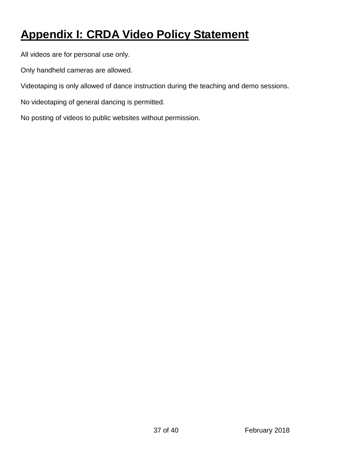# <span id="page-36-0"></span>**Appendix I: CRDA Video Policy Statement**

All videos are for personal use only.

Only handheld cameras are allowed.

Videotaping is only allowed of dance instruction during the teaching and demo sessions.

No videotaping of general dancing is permitted.

No posting of videos to public websites without permission.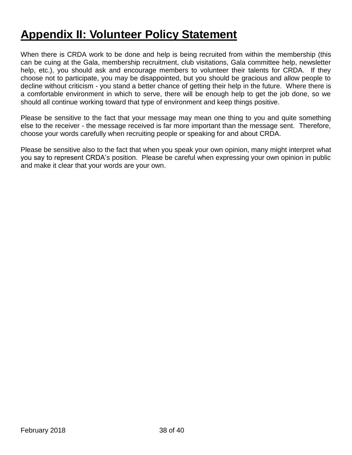# <span id="page-37-0"></span>**Appendix II: Volunteer Policy Statement**

When there is CRDA work to be done and help is being recruited from within the membership (this can be cuing at the Gala, membership recruitment, club visitations, Gala committee help, newsletter help, etc.), you should ask and encourage members to volunteer their talents for CRDA. If they choose not to participate, you may be disappointed, but you should be gracious and allow people to decline without criticism - you stand a better chance of getting their help in the future. Where there is a comfortable environment in which to serve, there will be enough help to get the job done, so we should all continue working toward that type of environment and keep things positive.

Please be sensitive to the fact that your message may mean one thing to you and quite something else to the receiver - the message received is far more important than the message sent. Therefore, choose your words carefully when recruiting people or speaking for and about CRDA.

Please be sensitive also to the fact that when you speak your own opinion, many might interpret what you say to represent CRDA's position. Please be careful when expressing your own opinion in public and make it clear that your words are your own.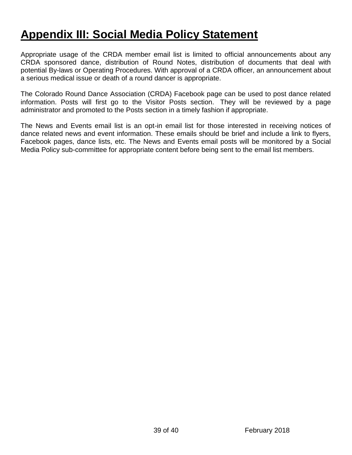# <span id="page-38-0"></span>**Appendix III: Social Media Policy Statement**

Appropriate usage of the CRDA member email list is limited to official announcements about any CRDA sponsored dance, distribution of Round Notes, distribution of documents that deal with potential By-laws or Operating Procedures. With approval of a CRDA officer, an announcement about a serious medical issue or death of a round dancer is appropriate.

The Colorado Round Dance Association (CRDA) Facebook page can be used to post dance related information. Posts will first go to the Visitor Posts section. They will be reviewed by a page administrator and promoted to the Posts section in a timely fashion if appropriate.

The News and Events email list is an opt-in email list for those interested in receiving notices of dance related news and event information. These emails should be brief and include a link to flyers, Facebook pages, dance lists, etc. The News and Events email posts will be monitored by a Social Media Policy sub-committee for appropriate content before being sent to the email list members.